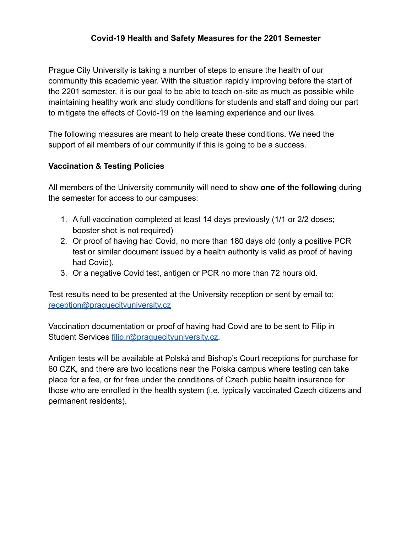## **Covid-19 Health and Safety Measures for the 2201 Semester**

Prague City University is taking a number of steps to ensure the health of our community this academic year. With the situation rapidly improving before the start of the 2201 semester, it is our goal to be able to teach on-site as much as possible while maintaining healthy work and study conditions for students and staff and doing our part to mitigate the effects of Covid-19 on the learning experience and our lives.

The following measures are meant to help create these conditions. We need the support of all members of our community if this is going to be a success.

### **Vaccination & Testing Policies**

All members of the University community will need to show **one of the following** during the semester for access to our campuses:

- 1. A full vaccination completed at least 14 days previously (1/1 or 2/2 doses; booster shot is not required)
- 2. Or proof of having had Covid, no more than 180 days old (only a positive PCR test or similar document issued by a health authority is valid as proof of having had Covid).
- 3. Or a negative Covid test, antigen or PCR no more than 72 hours old.

Test results need to be presented at the University reception or sent by email to: [reception@praguecityuniversity.cz](mailto:reception@praguecityuniversity.cz)

Vaccination documentation or proof of having had Covid are to be sent to Filip in Student Services filip.r@praquecityuniversity.cz.

Antigen tests will be available at Polská and Bishop's Court receptions for purchase for 60 CZK, and there are two locations near the Polska campus where testing can take place for a fee, or for free under the conditions of Czech public health insurance for those who are enrolled in the health system (i.e. typically vaccinated Czech citizens and permanent residents).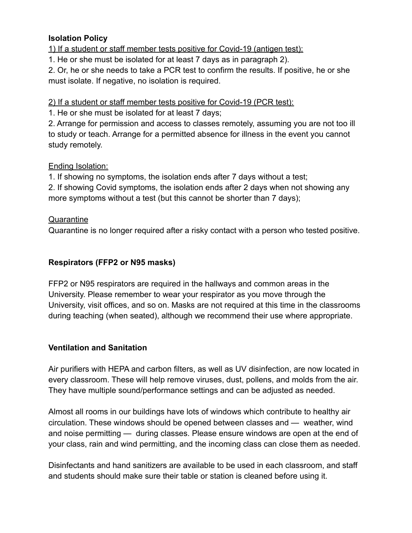## **Isolation Policy**

1) If a student or staff member tests positive for Covid-19 (antigen test):

1. He or she must be isolated for at least 7 days as in paragraph 2).

2. Or, he or she needs to take a PCR test to confirm the results. If positive, he or she must isolate. If negative, no isolation is required.

2) If a student or staff member tests positive for Covid-19 (PCR test):

1. He or she must be isolated for at least 7 days;

2. Arrange for permission and access to classes remotely, assuming you are not too ill to study or teach. Arrange for a permitted absence for illness in the event you cannot study remotely.

## Ending Isolation:

1. If showing no symptoms, the isolation ends after 7 days without a test;

2. If showing Covid symptoms, the isolation ends after 2 days when not showing any more symptoms without a test (but this cannot be shorter than 7 days);

## **Quarantine**

Quarantine is no longer required after a risky contact with a person who tested positive.

# **Respirators (FFP2 or N95 masks)**

FFP2 or N95 respirators are required in the hallways and common areas in the University. Please remember to wear your respirator as you move through the University, visit offices, and so on. Masks are not required at this time in the classrooms during teaching (when seated), although we recommend their use where appropriate.

### **Ventilation and Sanitation**

Air purifiers with HEPA and carbon filters, as well as UV disinfection, are now located in every classroom. These will help remove viruses, dust, pollens, and molds from the air. They have multiple sound/performance settings and can be adjusted as needed.

Almost all rooms in our buildings have lots of windows which contribute to healthy air circulation. These windows should be opened between classes and — weather, wind and noise permitting — during classes. Please ensure windows are open at the end of your class, rain and wind permitting, and the incoming class can close them as needed.

Disinfectants and hand sanitizers are available to be used in each classroom, and staff and students should make sure their table or station is cleaned before using it.